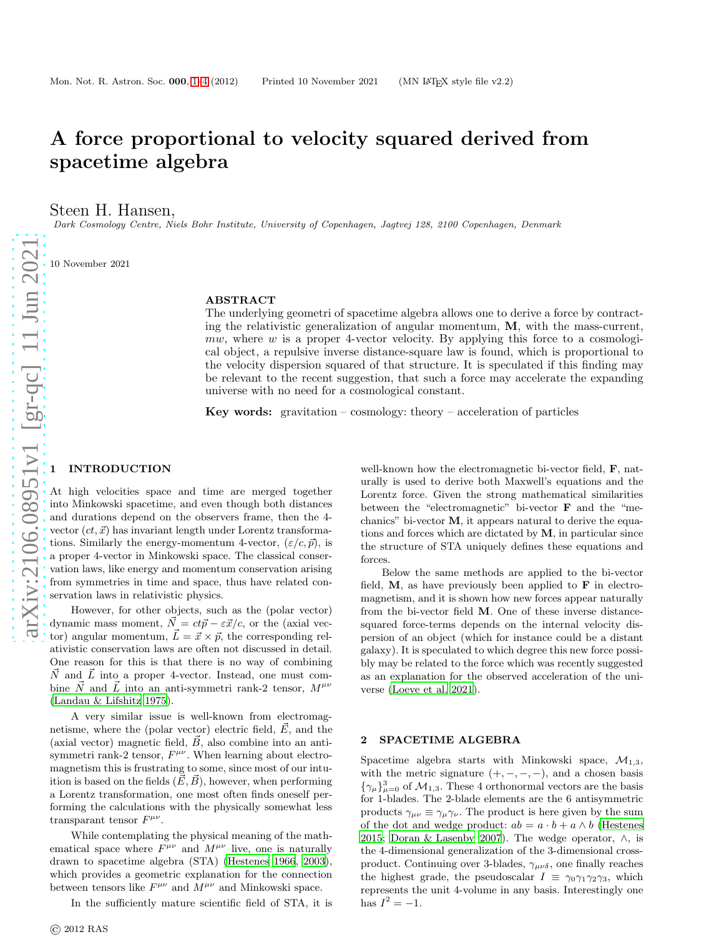# A force proportional to velocity squared derived from spacetime algebra

Steen H. Hansen,

Dark Cosmology Centre, Niels Bohr Institute, University of Copenhagen, Jagtvej 128, 2100 Copenhagen, Denmark

10 November 2021

### ABSTRACT

The underlying geometri of spacetime algebra allows one to derive a force by contracting the relativistic generalization of angular momentum,  $M$ , with the mass-current,  $m\ddot{w}$ , where  $w$  is a proper 4-vector velocity. By applying this force to a cosmological object, a repulsive inverse distance-square law is found, which is proportional to the velocity dispersion squared of that structure. It is speculated if this finding may be relevant to the recent suggestion, that such a force may accelerate the expanding universe with no need for a cosmological constant.

**Key words:** gravitation – cosmology: theory – acceleration of particles

### <span id="page-0-0"></span>**INTRODUCTION**

At high velocities space and time are merged together into Minkowski spacetime, and even though both distances and durations depend on the observers frame, then the 4 vector  $(ct, \vec{x})$  has invariant length under Lorentz transformations. Similarly the energy-momentum 4-vector,  $(\varepsilon/c, \vec{p})$ , is a proper 4-vector in Minkowski space. The classical conservation laws, like energy and momentum conservation arising from symmetries in time and space, thus have related conservation laws in relativistic physics.

However, for other objects, such as the (polar vector) dynamic mass moment,  $\vec{N} = ct\vec{p} - \varepsilon \vec{x}/c$ , or the (axial vector) angular momentum,  $\vec{L} = \vec{x} \times \vec{p}$ , the corresponding relativistic conservation laws are often not discussed in detail. One reason for this is that there is no way of combining  $\vec{N}$  and  $\vec{L}$  into a proper 4-vector. Instead, one must combine  $\vec{N}$  and  $\vec{L}$  into an anti-symmetri rank-2 tensor,  $M^{\mu\nu}$ [\(Landau & Lifshitz 1975\)](#page-3-0).

A very similar issue is well-known from electromagnetisme, where the (polar vector) electric field,  $\vec{E}$ , and the (axial vector) magnetic field,  $\vec{B}$ , also combine into an antisymmetri rank-2 tensor,  $F^{\mu\nu}$ . When learning about electromagnetism this is frustrating to some, since most of our intuition is based on the fields  $(\vec{E}, \vec{B})$ , however, when performing a Lorentz transformation, one most often finds oneself performing the calculations with the physically somewhat less transparant tensor  $F^{\mu\nu}$ .

While contemplating the physical meaning of the mathematical space where  $F^{\mu\nu}$  and  $M^{\mu\nu}$  live, one is naturally drawn to spacetime algebra (STA) [\(Hestenes 1966](#page-3-1), [2003](#page-3-2)), which provides a geometric explanation for the connection between tensors like  $F^{\mu\nu}$  and  $M^{\mu\nu}$  and Minkowski space.

In the sufficiently mature scientific field of STA, it is

well-known how the electromagnetic bi-vector field, **F**, naturally is used to derive both Maxwell's equations and the Lorentz force. Given the strong mathematical similarities between the "electromagnetic" bi-vector F and the "mechanics" bi-vector M, it appears natural to derive the equations and forces which are dictated by  $M$ , in particular since the structure of STA uniquely defines these equations and forces.

Below the same methods are applied to the bi-vector field,  $M$ , as have previously been applied to  $F$  in electromagnetism, and it is shown how new forces appear naturally from the bi-vector field M. One of these inverse distancesquared force-terms depends on the internal velocity dispersion of an object (which for instance could be a distant galaxy). It is speculated to which degree this new force possibly may be related to the force which was recently suggested as an explanation for the observed acceleration of the universe [\(Loeve et al. 2021](#page-3-3)).

#### SPACETIME ALGEBRA

Spacetime algebra starts with Minkowski space,  $\mathcal{M}_{1,3}$ , with the metric signature  $(+, -, -, -)$ , and a chosen basis  $\{\gamma_{\mu}\}_{\mu=0}^{3}$  of  $\mathcal{M}_{1,3}$ . These 4 orthonormal vectors are the basis for 1-blades. The 2-blade elements are the 6 antisymmetric products  $\gamma_{\mu\nu} \equiv \gamma_{\mu}\gamma_{\nu}$ . The product is here given by the sum of the dot and wedge product:  $ab = a \cdot b + a \wedge b$  [\(Hestenes](#page-3-4) [2015](#page-3-4); [Doran & Lasenby 2007](#page-3-5)). The wedge operator, ∧, is the 4-dimensional generalization of the 3-dimensional crossproduct. Continuing over 3-blades,  $\gamma_{\mu\nu\delta}$ , one finally reaches the highest grade, the pseudoscalar  $I \equiv \gamma_0 \gamma_1 \gamma_2 \gamma_3$ , which represents the unit 4-volume in any basis. Interestingly on e has  $I^2 = -1$ .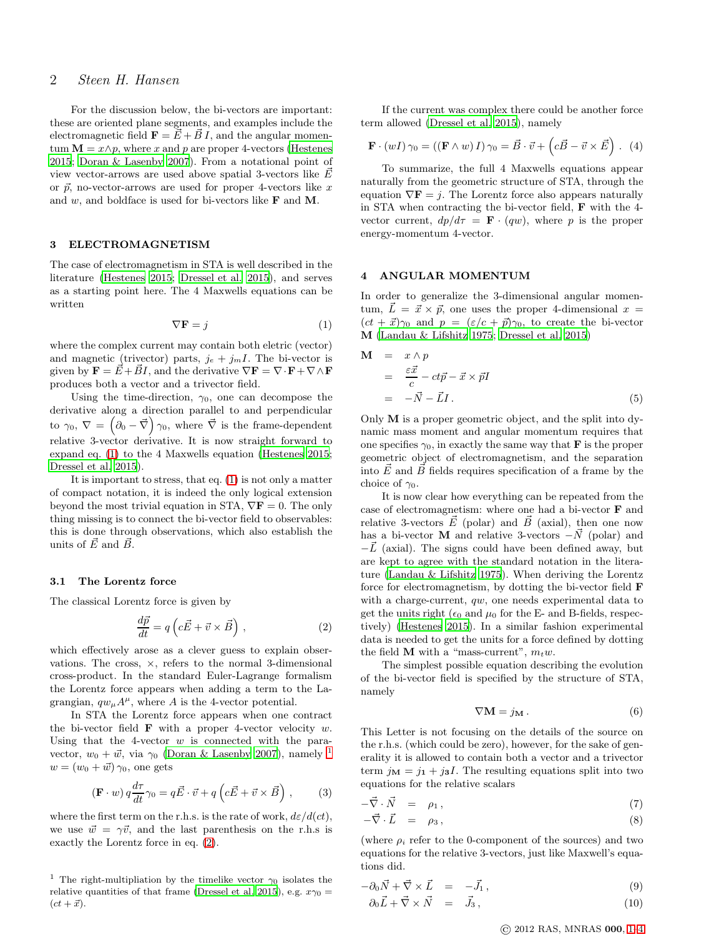# 2 Steen H. Hansen

For the discussion below, the bi-vectors are important: these are oriented plane segments, and examples include the electromagnetic field  $\mathbf{F} = \vec{E} + \vec{B} I$ , and the angular momentum  $\mathbf{M} = x \wedge p$ , where x and p are proper 4-vectors [\(Hestenes](#page-3-4) [2015](#page-3-4); [Doran & Lasenby 2007](#page-3-5)). From a notational point of view vector-arrows are used above spatial 3-vectors like  $\vec{E}$ or  $\vec{p}$ , no-vector-arrows are used for proper 4-vectors like x and  $w$ , and boldface is used for bi-vectors like  **and**  $**M**$ **.** 

#### 3 ELECTROMAGNETISM

The case of electromagnetism in STA is well described in the literature [\(Hestenes 2015](#page-3-4); [Dressel et al. 2015\)](#page-3-6), and serves as a starting point here. The 4 Maxwells equations can be written

<span id="page-1-0"></span>
$$
\nabla \mathbf{F} = j \tag{1}
$$

where the complex current may contain both eletric (vector) and magnetic (trivector) parts,  $j_e + j_m I$ . The bi-vector is given by  $\mathbf{F} = \vec{E} + \vec{B}I$ , and the derivative  $\nabla \mathbf{F} = \nabla \cdot \mathbf{F} + \nabla \wedge \mathbf{F}$ produces both a vector and a trivector field.

Using the time-direction,  $\gamma_0$ , one can decompose the derivative along a direction parallel to and perpendicular to  $\gamma_0, \nabla = (\partial_0 - \vec{\nabla}) \gamma_0$ , where  $\vec{\nabla}$  is the frame-dependent relative 3-vector derivative. It is now straight forward to expand eq. [\(1\)](#page-1-0) to the 4 Maxwells equation [\(Hestenes 2015;](#page-3-4) [Dressel et al. 2015\)](#page-3-6).

It is important to stress, that eq. [\(1\)](#page-1-0) is not only a matter of compact notation, it is indeed the only logical extension beyond the most trivial equation in STA,  $\nabla \mathbf{F} = 0$ . The only thing missing is to connect the bi-vector field to observables: this is done through observations, which also establish the units of  $\vec{E}$  and  $\vec{B}$ .

#### 3.1 The Lorentz force

The classical Lorentz force is given by

<span id="page-1-2"></span>
$$
\frac{d\vec{p}}{dt} = q\left(c\vec{E} + \vec{v} \times \vec{B}\right),\tag{2}
$$

which effectively arose as a clever guess to explain observations. The cross, ×, refers to the normal 3-dimensional cross-product. In the standard Euler-Lagrange formalism the Lorentz force appears when adding a term to the Lagrangian,  $qw_{\mu}A^{\mu}$ , where A is the 4-vector potential.

In STA the Lorentz force appears when one contract the bi-vector field  $\bf{F}$  with a proper 4-vector velocity w. Using that the 4-vector  $w$  is connected with the paravector,  $w_0 + \vec{w}$ , via  $\gamma_0$  [\(Doran & Lasenby 2007](#page-3-5)), namely <sup>[1](#page-1-1)</sup>  $w = (w_0 + \vec{w}) \gamma_0$ , one gets

<span id="page-1-3"></span>
$$
(\mathbf{F} \cdot w) q \frac{d\tau}{dt} \gamma_0 = q \vec{E} \cdot \vec{v} + q \left( c \vec{E} + \vec{v} \times \vec{B} \right) , \qquad (3)
$$

where the first term on the r.h.s. is the rate of work,  $d\varepsilon/d(ct)$ , we use  $\vec{w} = \gamma \vec{v}$ , and the last parenthesis on the r.h.s is exactly the Lorentz force in eq. [\(2\)](#page-1-2).

If the current was complex there could be another force term allowed [\(Dressel et al. 2015](#page-3-6)), namely

$$
\mathbf{F} \cdot (wI) \gamma_0 = ((\mathbf{F} \wedge w) I) \gamma_0 = \vec{B} \cdot \vec{v} + (c\vec{B} - \vec{v} \times \vec{E}) \ . \tag{4}
$$

To summarize, the full 4 Maxwells equations appear naturally from the geometric structure of STA, through the equation  $\nabla \mathbf{F} = j$ . The Lorentz force also appears naturally in STA when contracting the bi-vector field, F with the 4 vector current,  $dp/d\tau = \mathbf{F} \cdot (qw)$ , where p is the proper energy-momentum 4-vector.

#### 4 ANGULAR MOMENTUM

In order to generalize the 3-dimensional angular momentum,  $\vec{L} = \vec{x} \times \vec{p}$ , one uses the proper 4-dimensional  $x =$  $(ct + \vec{x})\gamma_0$  and  $p = (\varepsilon/c + \vec{p})\gamma_0$ , to create the bi-vector M [\(Landau & Lifshitz 1975](#page-3-0); [Dressel et al. 2015](#page-3-6))

$$
\mathbf{M} = x \wedge p
$$
  
=  $\frac{\varepsilon \vec{x}}{c} - ct\vec{p} - \vec{x} \times \vec{p}I$   
=  $-\vec{N} - \vec{L}I$ . (5)

Only  $M$  is a proper geometric object, and the split into dynamic mass moment and angular momentum requires that one specifies  $\gamma_0$ , in exactly the same way that **F** is the proper geometric object of electromagnetism, and the separation into  $\vec{E}$  and  $\vec{B}$  fields requires specification of a frame by the choice of  $\gamma_0$ .

It is now clear how everything can be repeated from the case of electromagnetism: where one had a bi-vector F and relative 3-vectors  $\vec{E}$  (polar) and  $\vec{B}$  (axial), then one now has a bi-vector **M** and relative 3-vectors  $-\vec{N}$  (polar) and  $-L$  (axial). The signs could have been defined away, but are kept to agree with the standard notation in the literature [\(Landau & Lifshitz 1975](#page-3-0)). When deriving the Lorentz force for electromagnetism, by dotting the bi-vector field F with a charge-current, qw, one needs experimental data to get the units right ( $\epsilon_0$  and  $\mu_0$  for the E- and B-fields, respectively) [\(Hestenes 2015](#page-3-4)). In a similar fashion experimental data is needed to get the units for a force defined by dotting the field **M** with a "mass-current",  $m_t w$ .

The simplest possible equation describing the evolution of the bi-vector field is specified by the structure of STA, namely

$$
\nabla \mathbf{M} = j_{\mathbf{M}} \,. \tag{6}
$$

This Letter is not focusing on the details of the source on the r.h.s. (which could be zero), however, for the sake of generality it is allowed to contain both a vector and a trivector term  $j_{\mathbf{M}} = j_1 + j_3I$ . The resulting equations split into two equations for the relative scalars

<span id="page-1-4"></span>
$$
-\vec{\nabla} \cdot \vec{N} = \rho_1, \qquad (7)
$$

$$
-\vec{\nabla}\cdot\vec{L} = \rho_3, \qquad (8)
$$

(where  $\rho_i$  refer to the 0-component of the sources) and two equations for the relative 3-vectors, just like Maxwell's equations did.

<span id="page-1-5"></span>
$$
-\partial_0 \vec{N} + \vec{\nabla} \times \vec{L} = -\vec{J}_1, \qquad (9)
$$

<span id="page-1-1"></span><sup>&</sup>lt;sup>1</sup> The right-multipliation by the timelike vector  $\gamma_0$  isolates the relative quantities of that frame [\(Dressel et al. 2015](#page-3-6)), e.g.  $x\gamma_0 =$  $(ct + \vec{x}).$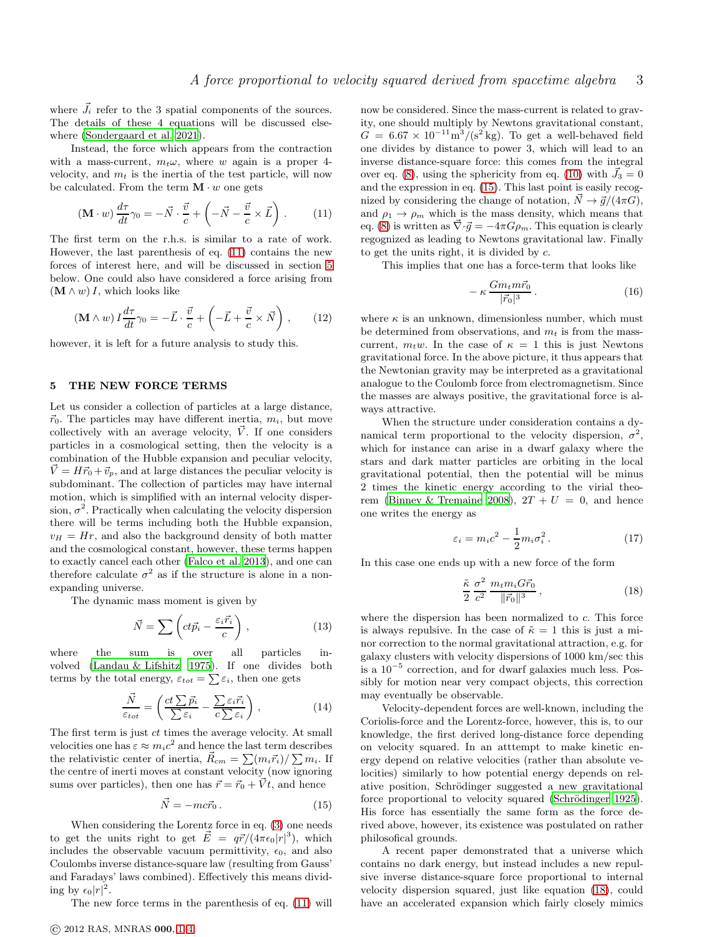where  $\vec{J}_i$  refer to the 3 spatial components of the sources. The details of these 4 equations will be discussed elsewhere [\(Sondergaard et al. 2021](#page-3-7)).

Instead, the force which appears from the contraction with a mass-current,  $m_t \omega$ , where w again is a proper 4velocity, and  $m_t$  is the inertia of the test particle, will now be calculated. From the term  $\mathbf{M} \cdot w$  one gets

<span id="page-2-0"></span>
$$
(\mathbf{M} \cdot w) \frac{d\tau}{dt} \gamma_0 = -\vec{N} \cdot \frac{\vec{v}}{c} + \left( -\vec{N} - \frac{\vec{v}}{c} \times \vec{L} \right). \tag{11}
$$

The first term on the r.h.s. is similar to a rate of work. However, the last parenthesis of eq. [\(11\)](#page-2-0) contains the new forces of interest here, and will be discussed in section [5](#page-2-1) below. One could also have considered a force arising from  $(\mathbf{M} \wedge w) I$ , which looks like

$$
(\mathbf{M} \wedge w) I \frac{d\tau}{dt} \gamma_0 = -\vec{L} \cdot \frac{\vec{v}}{c} + \left( -\vec{L} + \frac{\vec{v}}{c} \times \vec{N} \right) , \qquad (12)
$$

however, it is left for a future analysis to study this.

#### <span id="page-2-1"></span>5 THE NEW FORCE TERMS

Let us consider a collection of particles at a large distance,  $\vec{r}_0$ . The particles may have different inertia,  $m_i$ , but move collectively with an average velocity,  $\vec{V}$ . If one considers particles in a cosmological setting, then the velocity is a combination of the Hubble expansion and peculiar velocity,  $\dot{V} = H\vec{r}_0 + \vec{v}_p$ , and at large distances the peculiar velocity is subdominant. The collection of particles may have internal motion, which is simplified with an internal velocity dispersion,  $\sigma^2$ . Practically when calculating the velocity dispersion there will be terms including both the Hubble expansion,  $v_H = Hr$ , and also the background density of both matter and the cosmological constant, however, these terms happen to exactly cancel each other [\(Falco et al. 2013\)](#page-3-8), and one can therefore calculate  $\sigma^2$  as if the structure is alone in a nonexpanding universe.

The dynamic mass moment is given by

$$
\vec{N} = \sum \left( ct\vec{p}_i - \frac{\varepsilon_i \vec{r}_i}{c} \right),\tag{13}
$$

where the sum is over all particles involved [\(Landau & Lifshitz 1975](#page-3-0)). If one divides both terms by the total energy,  $\varepsilon_{tot} = \sum \varepsilon_i$ , then one gets

$$
\frac{\vec{N}}{\varepsilon_{tot}} = \left(\frac{ct\sum \vec{p}_i}{\sum \varepsilon_i} - \frac{\sum \varepsilon_i \vec{r}_i}{c\sum \varepsilon_i}\right),\tag{14}
$$

The first term is just  $ct$  times the average velocity. At small velocities one has  $\varepsilon \approx m_i c^2$  and hence the last term describes the relativistic center of inertia,  $\vec{R}_{cm} = \sum (m_i \vec{r}_i) / \sum m_i$ . If the centre of inerti moves at constant velocity (now ignoring sums over particles), then one has  $\vec{r} = \vec{r}_0 + \vec{V}t$ , and hence

<span id="page-2-2"></span>
$$
\vec{N} = -mc\vec{r}_0. \tag{15}
$$

When considering the Lorentz force in eq. [\(3\)](#page-1-3) one needs to get the units right to get  $\vec{E} = q\vec{r}/(4\pi\epsilon_0|r|^3)$ , which includes the observable vacuum permittivity,  $\epsilon_0$ , and also Coulombs inverse distance-square law (resulting from Gauss' and Faradays' laws combined). Effectively this means dividing by  $\epsilon_0 |r|^2$ .

The new force terms in the parenthesis of eq. [\(11\)](#page-2-0) will

now be considered. Since the mass-current is related to gravity, one should multiply by Newtons gravitational constant,  $G = 6.67 \times 10^{-11} \text{m}^3/(\text{s}^2 \text{ kg})$ . To get a well-behaved field one divides by distance to power 3, which will lead to an inverse distance-square force: this comes from the integral over eq. [\(8\)](#page-1-4), using the sphericity from eq. [\(10\)](#page-1-5) with  $\vec{J}_3 = 0$ and the expression in eq. [\(15\)](#page-2-2). This last point is easily recognized by considering the change of notation,  $\vec{N} \rightarrow \vec{g}/(4\pi G)$ , and  $\rho_1 \rightarrow \rho_m$  which is the mass density, which means that eq. [\(8\)](#page-1-4) is written as  $\vec{\nabla} \cdot \vec{g} = -4\pi G \rho_m$ . This equation is clearly regognized as leading to Newtons gravitational law. Finally to get the units right, it is divided by c.

This implies that one has a force-term that looks like

$$
-\kappa \frac{Gm_t m\vec{r}_0}{|\vec{r}_0|^3}.
$$
\n(16)

where  $\kappa$  is an unknown, dimensionless number, which must be determined from observations, and  $m_t$  is from the masscurrent,  $m_t w$ . In the case of  $\kappa = 1$  this is just Newtons gravitational force. In the above picture, it thus appears that the Newtonian gravity may be interpreted as a gravitational analogue to the Coulomb force from electromagnetism. Since the masses are always positive, the gravitational force is always attractive.

When the structure under consideration contains a dynamical term proportional to the velocity dispersion,  $\sigma^2$ , which for instance can arise in a dwarf galaxy where the stars and dark matter particles are orbiting in the local gravitational potential, then the potential will be minus 2 times the kinetic energy according to the virial theo-rem [\(Binney & Tremaine 2008\)](#page-3-9),  $2T + U = 0$ , and hence one writes the energy as

$$
\varepsilon_i = m_i c^2 - \frac{1}{2} m_i \sigma_i^2. \qquad (17)
$$

In this case one ends up with a new force of the form

<span id="page-2-3"></span>
$$
\frac{\tilde{\kappa}}{2} \frac{\sigma^2}{c^2} \frac{m_t m_i G \vec{r}_0}{\|\vec{r}_0\|^3} \,, \tag{18}
$$

where the dispersion has been normalized to  $c$ . This force is always repulsive. In the case of  $\tilde{\kappa} = 1$  this is just a minor correction to the normal gravitational attraction, e.g. for galaxy clusters with velocity dispersions of 1000 km/sec this is a 10<sup>−</sup><sup>5</sup> correction, and for dwarf galaxies much less. Possibly for motion near very compact objects, this correction may eventually be observable.

Velocity-dependent forces are well-known, including the Coriolis-force and the Lorentz-force, however, this is, to our knowledge, the first derived long-distance force depending on velocity squared. In an atttempt to make kinetic energy depend on relative velocities (rather than absolute velocities) similarly to how potential energy depends on relative position, Schrödinger suggested a new gravitational force proportional to velocity squared (Schrödinger 1925). His force has essentially the same form as the force derived above, however, its existence was postulated on rather philosofical grounds.

A recent paper demonstrated that a universe which contains no dark energy, but instead includes a new repulsive inverse distance-square force proportional to internal velocity dispersion squared, just like equation [\(18\)](#page-2-3), could have an accelerated expansion which fairly closely mimics